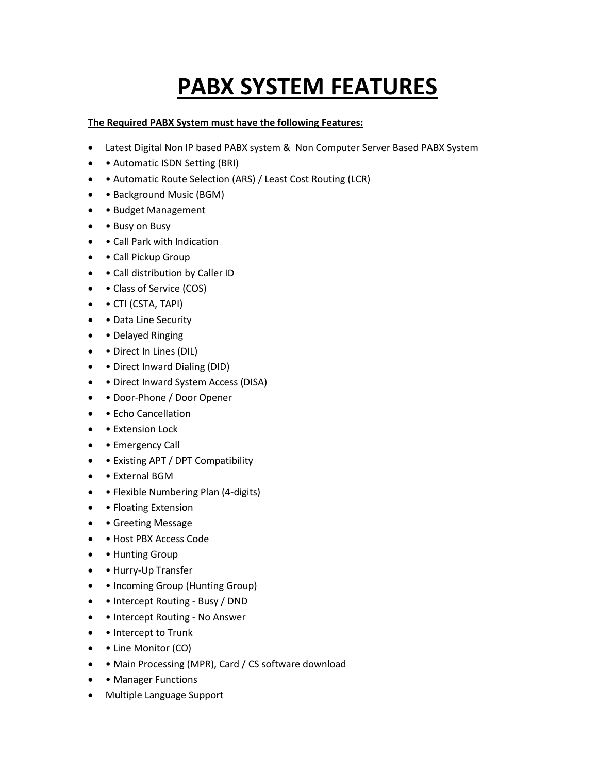## **PABX SYSTEM FEATURES**

## **The Required PABX System must have the following Features:**

- Latest Digital Non IP based PABX system & Non Computer Server Based PABX System
- • Automatic ISDN Setting (BRI)
- Automatic Route Selection (ARS) / Least Cost Routing (LCR)
- Background Music (BGM)
- Budget Management
- • Busy on Busy
- Call Park with Indication
- Call Pickup Group
- Call distribution by Caller ID
- • Class of Service (COS)
- • CTI (CSTA, TAPI)
- • Data Line Security
- • Delayed Ringing
- • Direct In Lines (DIL)
- • Direct Inward Dialing (DID)
- Direct Inward System Access (DISA)
- Door-Phone / Door Opener
- • Echo Cancellation
- **Extension Lock**
- **Emergency Call**
- • Existing APT / DPT Compatibility
- External BGM
- • Flexible Numbering Plan (4-digits)
- • Floating Extension
- Greeting Message
- Host PBX Access Code
- • Hunting Group
- • Hurry-Up Transfer
- • Incoming Group (Hunting Group)
- • Intercept Routing Busy / DND
- • Intercept Routing No Answer
- • Intercept to Trunk
- • Line Monitor (CO)
- • Main Processing (MPR), Card / CS software download
- • Manager Functions
- Multiple Language Support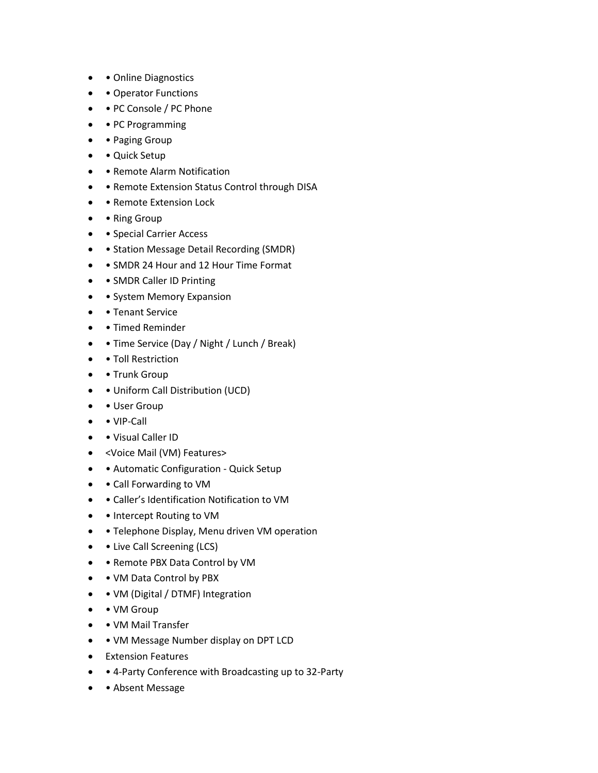- • Online Diagnostics
- Operator Functions
- • PC Console / PC Phone
- • PC Programming
- • Paging Group
- Quick Setup
- Remote Alarm Notification
- • Remote Extension Status Control through DISA
- • Remote Extension Lock
- • Ring Group
- • Special Carrier Access
- • Station Message Detail Recording (SMDR)
- • SMDR 24 Hour and 12 Hour Time Format
- • SMDR Caller ID Printing
- • System Memory Expansion
- • Tenant Service
- • Timed Reminder
- • Time Service (Day / Night / Lunch / Break)
- • Toll Restriction
- • Trunk Group
- Uniform Call Distribution (UCD)
- • User Group
- VIP-Call
- • Visual Caller ID
- <Voice Mail (VM) Features>
- • Automatic Configuration Quick Setup
- Call Forwarding to VM
- Caller's Identification Notification to VM
- • Intercept Routing to VM
- • Telephone Display, Menu driven VM operation
- • Live Call Screening (LCS)
- • Remote PBX Data Control by VM
- • VM Data Control by PBX
- • VM (Digital / DTMF) Integration
- • VM Group
- • VM Mail Transfer
- • VM Message Number display on DPT LCD
- **•** Extension Features
- 4-Party Conference with Broadcasting up to 32-Party
- Absent Message